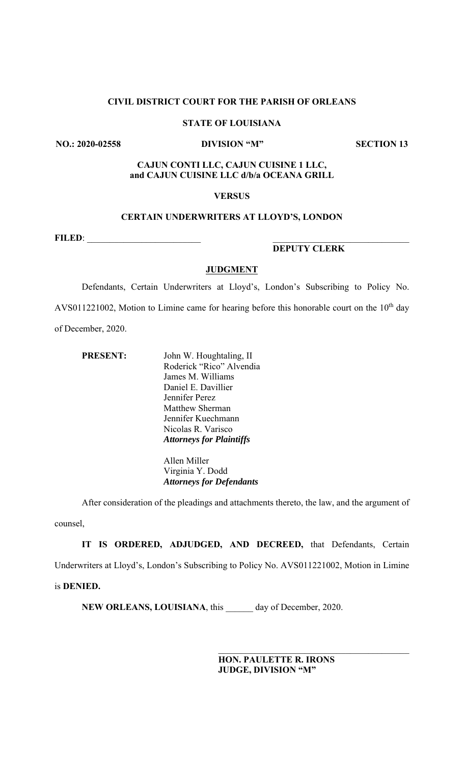# **CIVIL DISTRICT COURT FOR THE PARISH OF ORLEANS**

#### **STATE OF LOUISIANA**

**NO.: 2020-02558 DIVISION "M" SECTION 13** 

# **CAJUN CONTI LLC, CAJUN CUISINE 1 LLC, and CAJUN CUISINE LLC d/b/a OCEANA GRILL**

## **VERSUS**

#### **CERTAIN UNDERWRITERS AT LLOYD'S, LONDON**

**FILED**: \_\_\_\_\_\_\_\_\_\_\_\_\_\_\_\_\_\_\_\_\_\_\_\_\_ \_\_\_\_\_\_\_\_\_\_\_\_\_\_\_\_\_\_\_\_\_\_\_\_\_\_\_\_\_\_

# **DEPUTY CLERK**

## **JUDGMENT**

Defendants, Certain Underwriters at Lloyd's, London's Subscribing to Policy No.

AVS011221002, Motion to Limine came for hearing before this honorable court on the  $10<sup>th</sup>$  day

of December, 2020.

**PRESENT:** John W. Houghtaling, II Roderick "Rico" Alvendia James M. Williams Daniel E. Davillier Jennifer Perez Matthew Sherman Jennifer Kuechmann Nicolas R. Varisco *Attorneys for Plaintiffs* 

> Allen Miller Virginia Y. Dodd *Attorneys for Defendants*

After consideration of the pleadings and attachments thereto, the law, and the argument of

counsel,

**IT IS ORDERED, ADJUDGED, AND DECREED,** that Defendants, Certain Underwriters at Lloyd's, London's Subscribing to Policy No. AVS011221002, Motion in Limine

is **DENIED.** 

**NEW ORLEANS, LOUISIANA**, this \_\_\_\_\_\_ day of December, 2020.

**HON. PAULETTE R. IRONS JUDGE, DIVISION "M"**